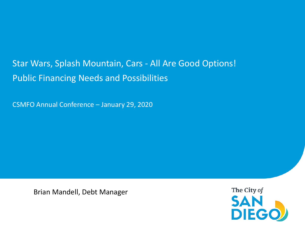# Star Wars, Splash Mountain, Cars - All Are Good Options! Public Financing Needs and Possibilities

CSMFO Annual Conference – January 29, 2020

Brian Mandell, Debt Manager

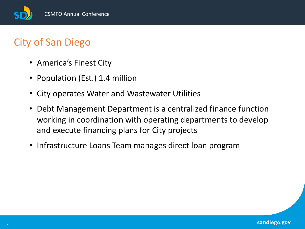

# City of San Diego

- America's Finest City
- Population (Est.) 1.4 million
- City operates Water and Wastewater Utilities
- Debt Management Department is a centralized finance function working in coordination with operating departments to develop and execute financing plans for City projects
- Infrastructure Loans Team manages direct loan program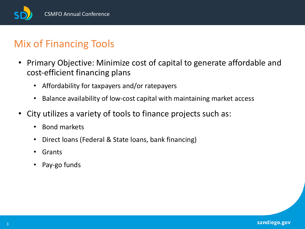

## Mix of Financing Tools

- Primary Objective: Minimize cost of capital to generate affordable and cost-efficient financing plans
	- Affordability for taxpayers and/or ratepayers
	- Balance availability of low-cost capital with maintaining market access
- City utilizes a variety of tools to finance projects such as:
	- Bond markets
	- Direct loans (Federal & State loans, bank financing)
	- Grants
	- Pay-go funds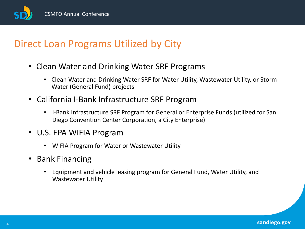CSMFO Annual Conference

## Direct Loan Programs Utilized by City

- Clean Water and Drinking Water SRF Programs
	- Clean Water and Drinking Water SRF for Water Utility, Wastewater Utility, or Storm Water (General Fund) projects
- California I-Bank Infrastructure SRF Program
	- I-Bank Infrastructure SRF Program for General or Enterprise Funds (utilized for San Diego Convention Center Corporation, a City Enterprise)
- U.S. EPA WIFIA Program
	- WIFIA Program for Water or Wastewater Utility
- Bank Financing
	- Equipment and vehicle leasing program for General Fund, Water Utility, and Wastewater Utility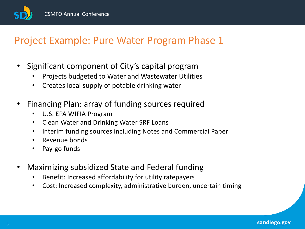

## Project Example: Pure Water Program Phase 1

- Significant component of City's capital program
	- Projects budgeted to Water and Wastewater Utilities
	- Creates local supply of potable drinking water
- Financing Plan: array of funding sources required
	- U.S. EPA WIFIA Program
	- Clean Water and Drinking Water SRF Loans
	- Interim funding sources including Notes and Commercial Paper
	- Revenue bonds
	- Pay-go funds
- Maximizing subsidized State and Federal funding
	- Benefit: Increased affordability for utility ratepayers
	- Cost: Increased complexity, administrative burden, uncertain timing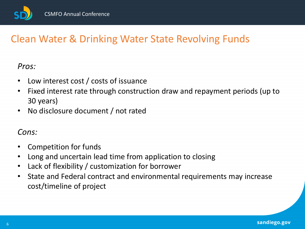

# Clean Water & Drinking Water State Revolving Funds

#### *Pros:*

- Low interest cost / costs of issuance
- Fixed interest rate through construction draw and repayment periods (up to 30 years)
- No disclosure document / not rated

#### *Cons:*

- Competition for funds
- Long and uncertain lead time from application to closing
- Lack of flexibility / customization for borrower
- State and Federal contract and environmental requirements may increase cost/timeline of project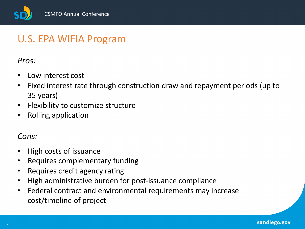

## U.S. EPA WIFIA Program

#### *Pros:*

- Low interest cost
- Fixed interest rate through construction draw and repayment periods (up to 35 years)
- Flexibility to customize structure
- Rolling application

#### *Cons:*

- High costs of issuance
- Requires complementary funding
- Requires credit agency rating
- High administrative burden for post-issuance compliance
- Federal contract and environmental requirements may increase cost/timeline of project